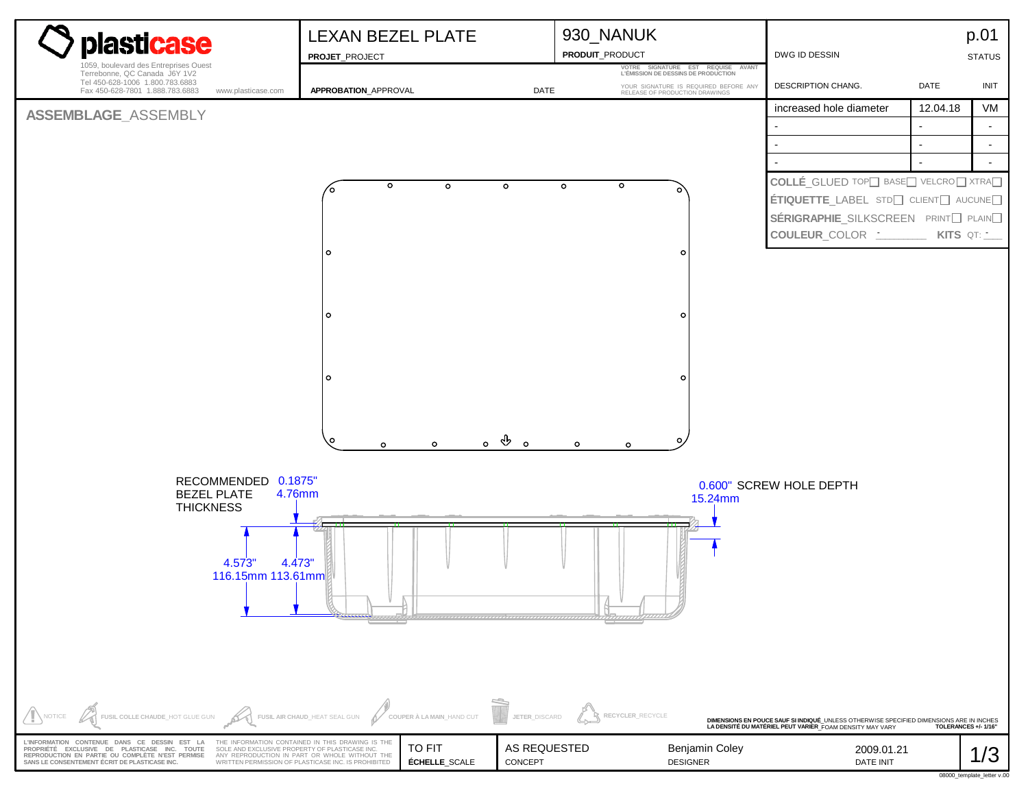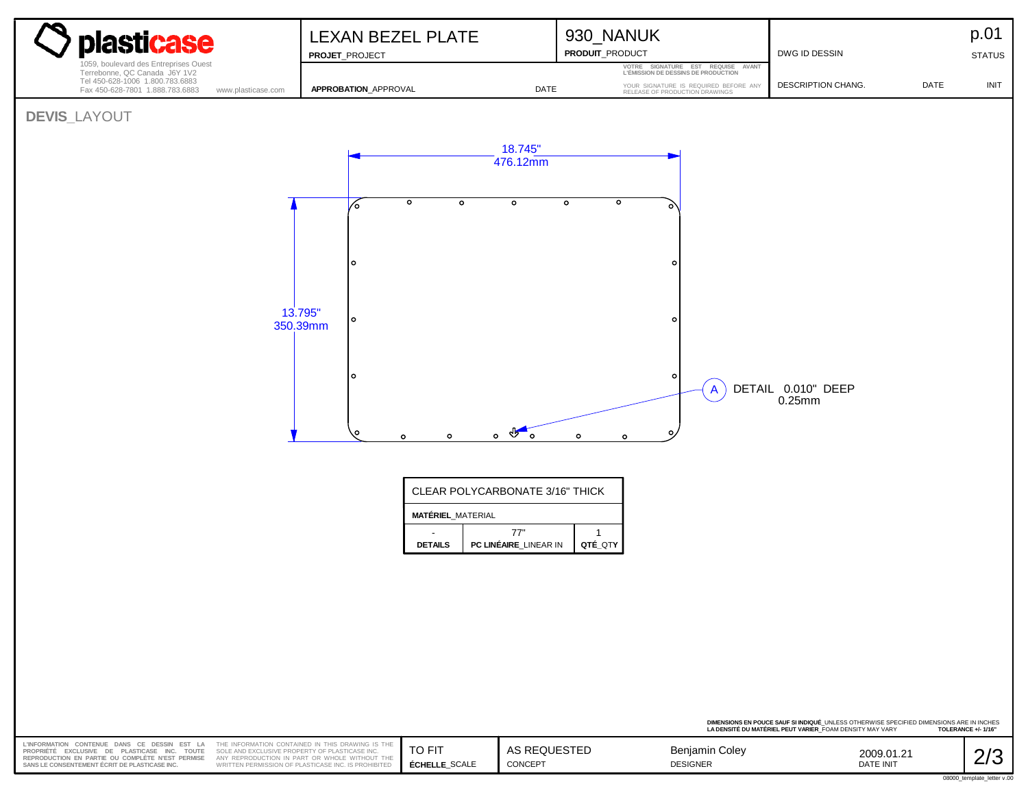